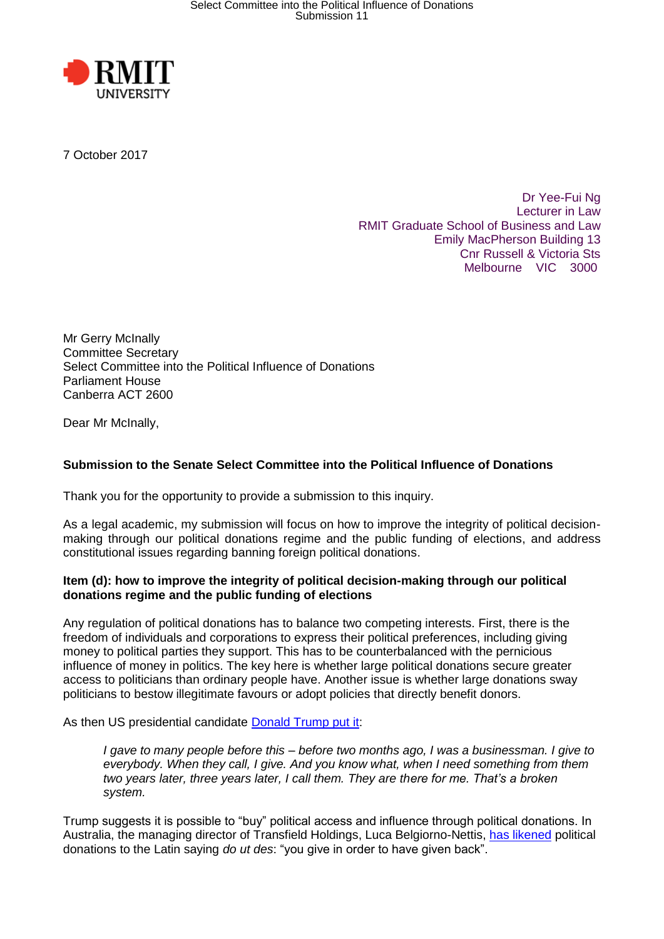

7 October 2017

Dr Yee-Fui Ng Lecturer in Law RMIT Graduate School of Business and Law Emily MacPherson Building 13 Cnr Russell & Victoria Sts Melbourne VIC 3000

Mr Gerry McInally Committee Secretary Select Committee into the Political Influence of Donations Parliament House Canberra ACT 2600

Dear Mr McInally,

# **Submission to the Senate Select Committee into the Political Influence of Donations**

Thank you for the opportunity to provide a submission to this inquiry.

As a legal academic, my submission will focus on how to improve the integrity of political decisionmaking through our political donations regime and the public funding of elections, and address constitutional issues regarding banning foreign political donations.

## **Item (d): how to improve the integrity of political decision-making through our political donations regime and the public funding of elections**

Any regulation of political donations has to balance two competing interests. First, there is the freedom of individuals and corporations to express their political preferences, including giving money to political parties they support. This has to be counterbalanced with the pernicious influence of money in politics. The key here is whether large political donations secure greater access to politicians than ordinary people have. Another issue is whether large donations sway politicians to bestow illegitimate favours or adopt policies that directly benefit donors.

As then US presidential candidate [Donald Trump put it:](http://www.rollingstone.com/politics/news/what-donald-trumps-political-donations-reveal-about-him-20160425)

*I gave to many people before this – before two months ago, I was a businessman. I give to everybody. When they call, I give. And you know what, when I need something from them two years later, three years later, I call them. They are there for me. That's a broken system.*

Trump suggests it is possible to "buy" political access and influence through political donations. In Australia, the managing director of Transfield Holdings, Luca Belgiorno-Nettis, [has likened](https://www.theguardian.com/australia-news/2016/may/23/transfield-boss-says-political-donations-bought-access-to-mps?CMP=soc_568) political donations to the Latin saying *do ut des*: "you give in order to have given back".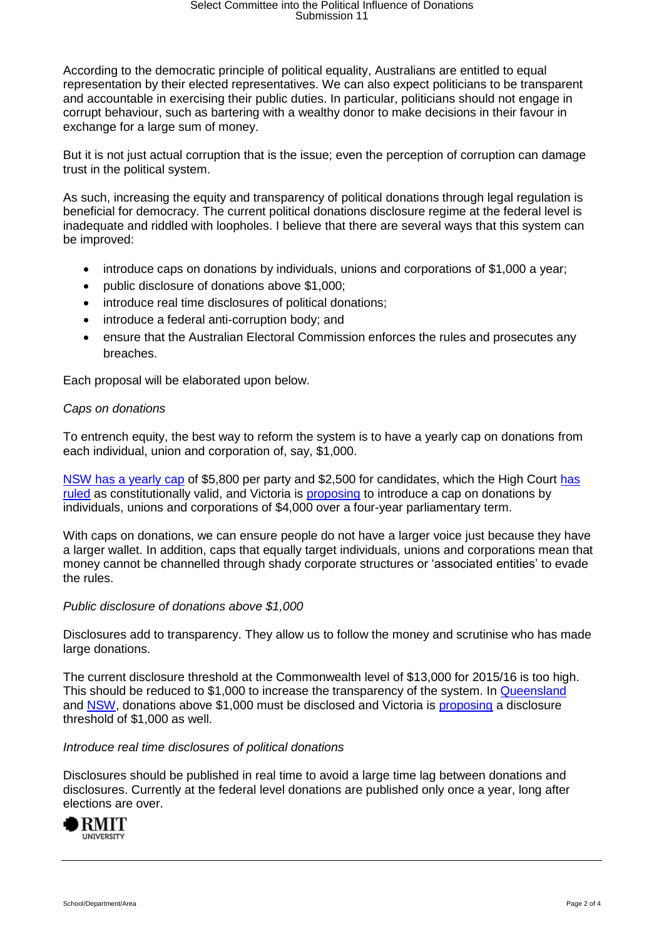According to the democratic principle of political equality, Australians are entitled to equal representation by their elected representatives. We can also expect politicians to be transparent and accountable in exercising their public duties. In particular, politicians should not engage in corrupt behaviour, such as bartering with a wealthy donor to make decisions in their favour in exchange for a large sum of money.

But it is not just actual corruption that is the issue; even the perception of corruption can damage trust in the political system.

As such, increasing the equity and transparency of political donations through legal regulation is beneficial for democracy. The current political donations disclosure regime at the federal level is inadequate and riddled with loopholes. I believe that there are several ways that this system can be improved:

- introduce caps on donations by individuals, unions and corporations of \$1,000 a year;
- public disclosure of donations above \$1,000;
- introduce real time disclosures of political donations:
- introduce a federal anti-corruption body; and
- ensure that the Australian Electoral Commission enforces the rules and prosecutes any breaches.

Each proposal will be elaborated upon below.

## *Caps on donations*

To entrench equity, the best way to reform the system is to have a yearly cap on donations from each individual, union and corporation of, say, \$1,000.

[NSW has a yearly cap](http://www.elections.nsw.gov.au/fd/political_donations) of \$5,800 per party and \$2,500 for candidates, which the High Court [has](http://www.austlii.edu.au/au/cases/cth/HCA/2015/34.html)  [ruled](http://www.austlii.edu.au/au/cases/cth/HCA/2015/34.html) as constitutionally valid, and Victoria is [proposing](https://theconversation.com/victoria-gets-serious-on-its-political-donations-rules-now-its-the-federal-governments-turn-84265) to introduce a cap on donations by individuals, unions and corporations of \$4,000 over a four-year parliamentary term.

With caps on donations, we can ensure people do not have a larger voice just because they have a larger wallet. In addition, caps that equally target individuals, unions and corporations mean that money cannot be channelled through shady corporate structures or 'associated entities' to evade the rules.

#### *Public disclosure of donations above \$1,000*

Disclosures add to transparency. They allow us to follow the money and scrutinise who has made large donations.

The current disclosure threshold at the Commonwealth level of \$13,000 for 2015/16 is too high. This should be reduced to \$1,000 to increase the transparency of the system. In [Queensland](https://www.ecq.qld.gov.au/candidates-and-parties/funding-and-disclosure) and [NSW,](http://www.elections.nsw.gov.au/fd/political_donations) donations above \$1,000 must be disclosed and Victoria is [proposing](https://theconversation.com/victoria-gets-serious-on-its-political-donations-rules-now-its-the-federal-governments-turn-84265) a disclosure threshold of \$1,000 as well.

#### *Introduce real time disclosures of political donations*

Disclosures should be published in real time to avoid a large time lag between donations and disclosures. Currently at the federal level donations are published only once a year, long after elections are over.

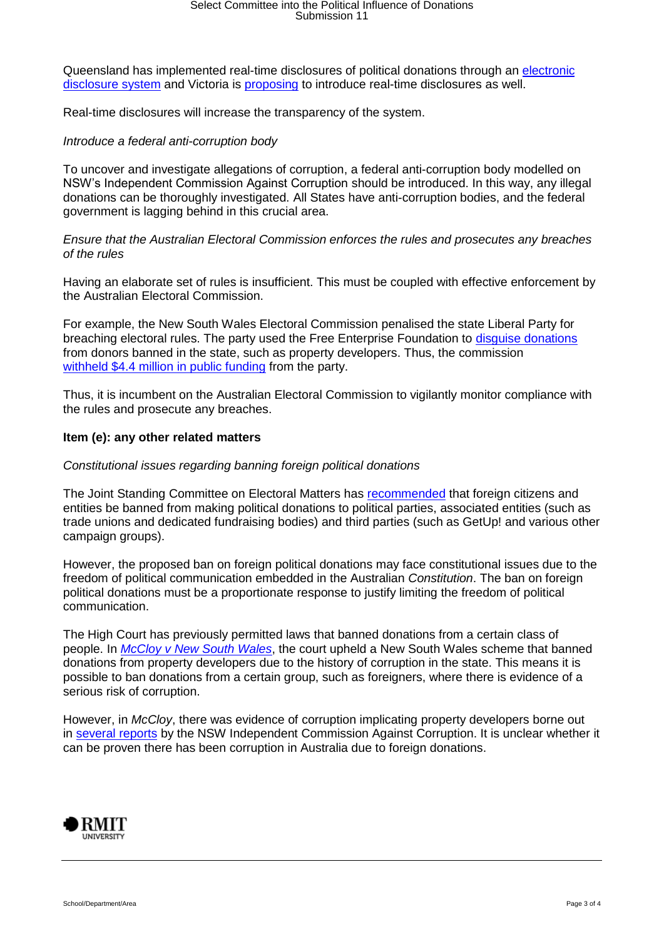Queensland has implemented real-time disclosures of political donations through an [electronic](https://disclosures.ecq.qld.gov.au/)  [disclosure system](https://disclosures.ecq.qld.gov.au/) and Victoria is [proposing](https://theconversation.com/victoria-gets-serious-on-its-political-donations-rules-now-its-the-federal-governments-turn-84265) to introduce real-time disclosures as well.

Real-time disclosures will increase the transparency of the system.

### *Introduce a federal anti-corruption body*

To uncover and investigate allegations of corruption, a federal anti-corruption body modelled on NSW's Independent Commission Against Corruption should be introduced. In this way, any illegal donations can be thoroughly investigated. All States have anti-corruption bodies, and the federal government is lagging behind in this crucial area.

*Ensure that the Australian Electoral Commission enforces the rules and prosecutes any breaches of the rules*

Having an elaborate set of rules is insufficient. This must be coupled with effective enforcement by the Australian Electoral Commission.

For example, the New South Wales Electoral Commission penalised the state Liberal Party for breaching electoral rules. The party used the Free Enterprise Foundation to [disguise donations](http://www.abc.net.au/news/2016-03-24/nsw-liberal-party-disguised-political-donations-free-enterprise/7272446) from donors banned in the state, such as property developers. Thus, the commission [withheld \\$4.4 million in public funding](http://www.abc.net.au/news/2016-05-23/electoral-comm-defends-decision-to-withdraw-funding-from-libs/7435900) from the party.

Thus, it is incumbent on the Australian Electoral Commission to vigilantly monitor compliance with the rules and prosecute any breaches.

## **Item (e): any other related matters**

## *Constitutional issues regarding banning foreign political donations*

The Joint Standing Committee on Electoral Matters has [recommended](http://parlinfo.aph.gov.au/parlInfo/download/committees/reportjnt/024053/toc_pdf/Secondinterimreportontheinquiryintotheconductofthe2016federalelectionForeignDonations.pdf;fileType=application%2Fpdf) that foreign citizens and entities be banned from making political donations to political parties, associated entities (such as trade unions and dedicated fundraising bodies) and third parties (such as GetUp! and various other campaign groups).

However, the proposed ban on foreign political donations may face constitutional issues due to the freedom of political communication embedded in the Australian *Constitution*. The ban on foreign political donations must be a proportionate response to justify limiting the freedom of political communication.

The High Court has previously permitted laws that banned donations from a certain class of people. In *[McCloy v New South Wales](http://www.austlii.edu.au/au/cases/cth/HCA/2015/34.html)*, the court upheld a New South Wales scheme that banned donations from property developers due to the history of corruption in the state. This means it is possible to ban donations from a certain group, such as foreigners, where there is evidence of a serious risk of corruption.

However, in *McCloy*, there was evidence of corruption implicating property developers borne out in [several reports](https://www.icac.nsw.gov.au/investigations/past-investigations/investigationdetail/220) by the NSW Independent Commission Against Corruption. It is unclear whether it can be proven there has been corruption in Australia due to foreign donations.